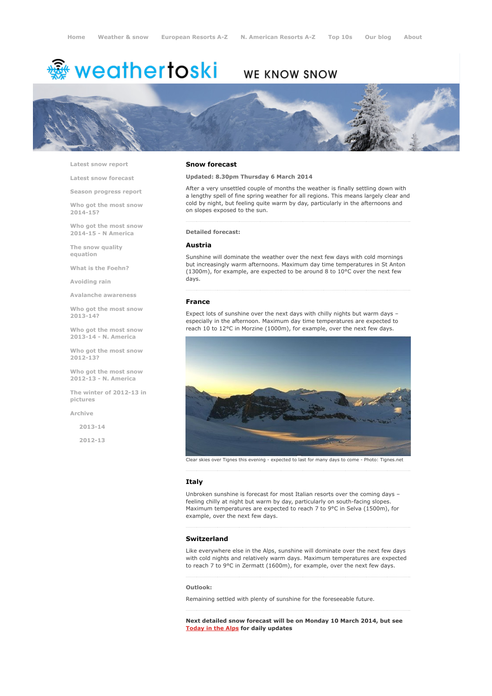# <sup>霧</sup> weathertoski

# WE KNOW SNOW



Latest snow [report](http://www.weathertoski.co.uk/weather-snow/latest-snow-report/)

Latest snow [forecast](http://www.weathertoski.co.uk/weather-snow/latest-snow-forecast/)

Season [progress](http://www.weathertoski.co.uk/weather-snow/season-progress-report/) report

Who got the most snow 2014-15?

Who got the most snow 2014-15 - N America

The snow quality [equation](http://www.weathertoski.co.uk/weather-snow/the-snow-quality-equation/)

What is the [Foehn?](http://www.weathertoski.co.uk/weather-snow/what-is-the-foehn/)

[Avoiding](http://www.weathertoski.co.uk/weather-snow/avoiding-rain/) rain

Avalanche [awareness](http://www.weathertoski.co.uk/weather-snow/avalanche-awareness/)

Who got the most snow 2013-14?

Who got the most snow 2013-14 - N. America

Who got the most snow 2012-13?

Who got the most snow 2012-13 - N. America

The winter of 2012-13 in pictures

[Archive](http://www.weathertoski.co.uk/weather-snow/archive/)

2013-14

2012-13

#### Snow forecast

### Updated: 8.30pm Thursday 6 March 2014

After a very unsettled couple of months the weather is finally settling down with a lengthy spell of fine spring weather for all regions. This means largely clear and cold by night, but feeling quite warm by day, particularly in the afternoons and on slopes exposed to the sun.

Detailed forecast:

#### Austria

Sunshine will dominate the weather over the next few days with cold mornings but increasingly warm afternoons. Maximum day time temperatures in St Anton (1300m), for example, are expected to be around 8 to 10°C over the next few days.

#### France

Expect lots of sunshine over the next days with chilly nights but warm days – especially in the afternoon. Maximum day time temperatures are expected to reach 10 to 12°C in Morzine (1000m), for example, over the next few days.



Clear skies over Tignes this evening - expected to last for many days to come - Photo: Tignes.net 

# Italy

Unbroken sunshine is forecast for most Italian resorts over the coming days – feeling chilly at night but warm by day, particularly on south-facing slopes. Maximum temperatures are expected to reach 7 to 9°C in Selva (1500m), for example, over the next few days.

# Switzerland

Like everywhere else in the Alps, sunshine will dominate over the next few days with cold nights and relatively warm days. Maximum temperatures are expected to reach 7 to 9°C in Zermatt (1600m), for example, over the next few days.

#### Outlook:

Remaining settled with plenty of sunshine for the foreseeable future.

Next detailed snow forecast will be on Monday 10 March 2014, but see [Today](http://www.weathertoski.co.uk/weather-snow/) in the Alps for daily updates